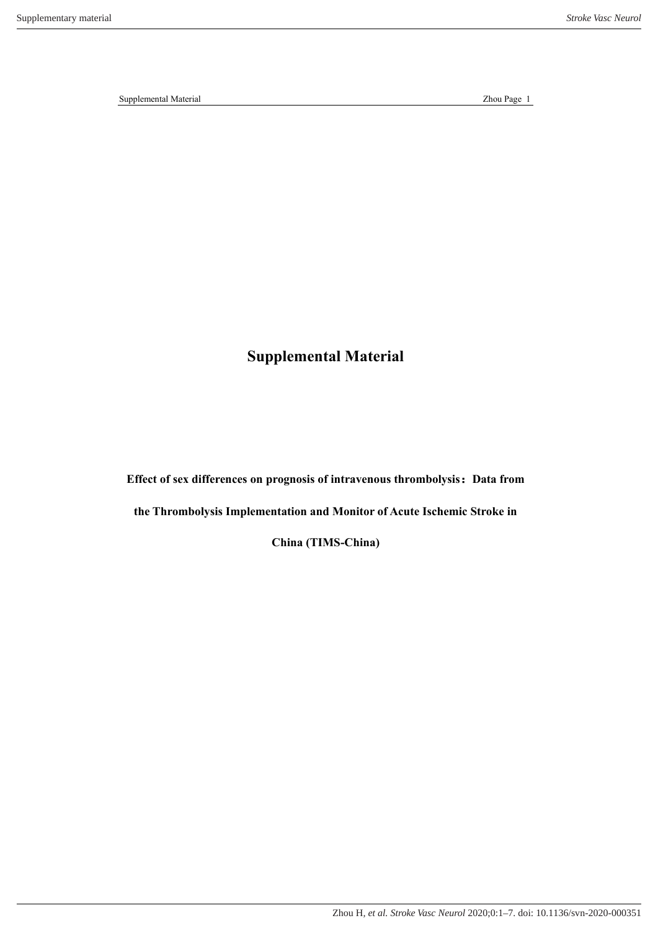**Supplemental Material**

**Effect of sex differences on prognosis of intravenous thrombolysis:Data from** 

**the Thrombolysis Implementation and Monitor of Acute Ischemic Stroke in** 

**China (TIMS-China)**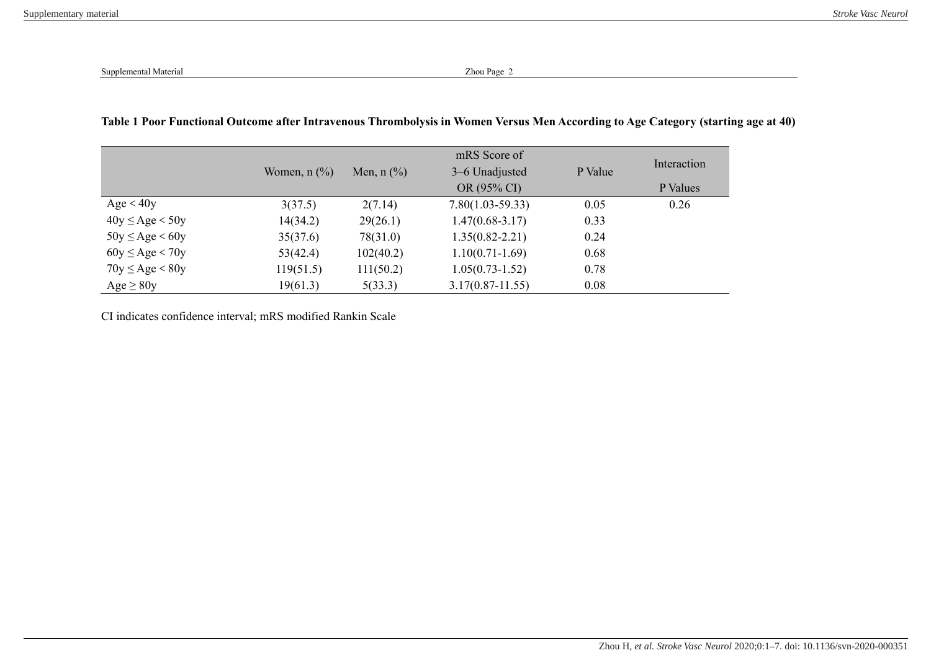## **Table 1 Poor Functional Outcome after Intravenous Thrombolysis in Women Versus Men According to Age Category (starting age at 40)**

|                      |                                       |              | mRS Score of         |         | Interaction |
|----------------------|---------------------------------------|--------------|----------------------|---------|-------------|
|                      | Women, $n$ $\left(\frac{9}{6}\right)$ | Men, $n$ (%) | 3–6 Unadjusted       | P Value |             |
|                      |                                       |              | OR (95% CI)          |         | P Values    |
| Age < 40y            | 3(37.5)                               | 2(7.14)      | $7.80(1.03-59.33)$   | 0.05    | 0.26        |
| $40y \leq Age < 50y$ | 14(34.2)                              | 29(26.1)     | $1.47(0.68 - 3.17)$  | 0.33    |             |
| $50y \leq Age < 60y$ | 35(37.6)                              | 78(31.0)     | $1.35(0.82 - 2.21)$  | 0.24    |             |
| $60y \leq Age < 70y$ | 53(42.4)                              | 102(40.2)    | $1.10(0.71 - 1.69)$  | 0.68    |             |
| $70y \leq Age < 80y$ | 119(51.5)                             | 111(50.2)    | $1.05(0.73 - 1.52)$  | 0.78    |             |
| Age $\geq 80y$       | 19(61.3)                              | 5(33.3)      | $3.17(0.87 - 11.55)$ | 0.08    |             |

CI indicates confidence interval; mRS modified Rankin Scale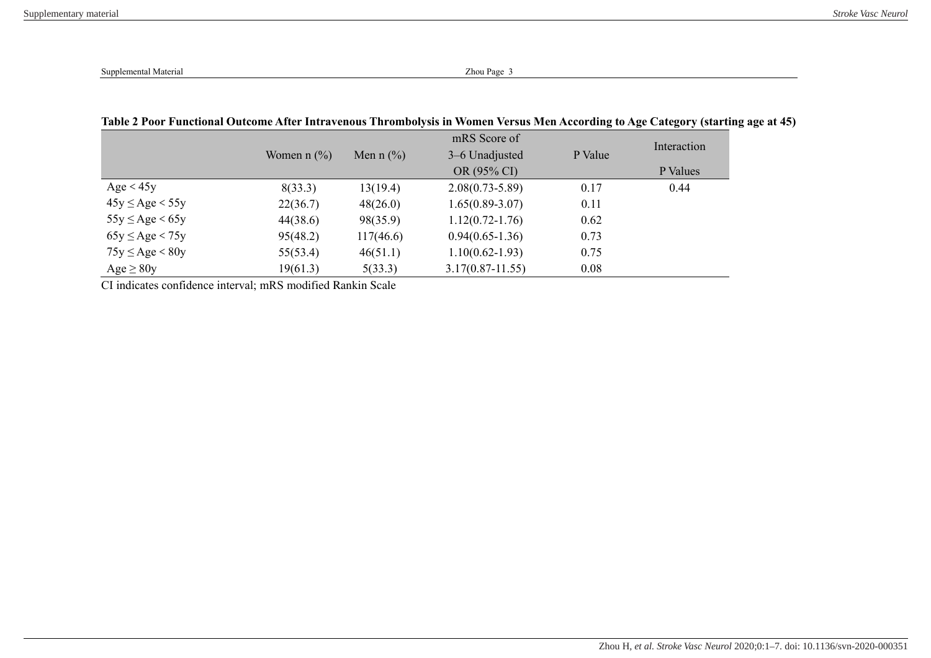|                      | Women $n$ $\left(\frac{9}{6}\right)$ | Men n $(\% )$ | mRS Score of<br>3–6 Unadjusted | P Value | Interaction |
|----------------------|--------------------------------------|---------------|--------------------------------|---------|-------------|
|                      |                                      |               | OR (95% CI)                    |         | P Values    |
| Age $< 45y$          | 8(33.3)                              | 13(19.4)      | $2.08(0.73 - 5.89)$            | 0.17    | 0.44        |
| $45y \leq Age < 55y$ | 22(36.7)                             | 48(26.0)      | $1.65(0.89-3.07)$              | 0.11    |             |
| $55y \leq Age < 65y$ | 44(38.6)                             | 98(35.9)      | $1.12(0.72 - 1.76)$            | 0.62    |             |
| $65y \leq Age < 75y$ | 95(48.2)                             | 117(46.6)     | $0.94(0.65-1.36)$              | 0.73    |             |
| $75y \leq Age < 80y$ | 55(53.4)                             | 46(51.1)      | $1.10(0.62 - 1.93)$            | 0.75    |             |
| Age $\geq 80y$       | 19(61.3)                             | 5(33.3)       | $3.17(0.87 - 11.55)$           | 0.08    |             |

## **Table 2 Poor Functional Outcome After Intravenous Thrombolysis in Women Versus Men According to Age Category (starting age at 45)**

CI indicates confidence interval; mRS modified Rankin Scale